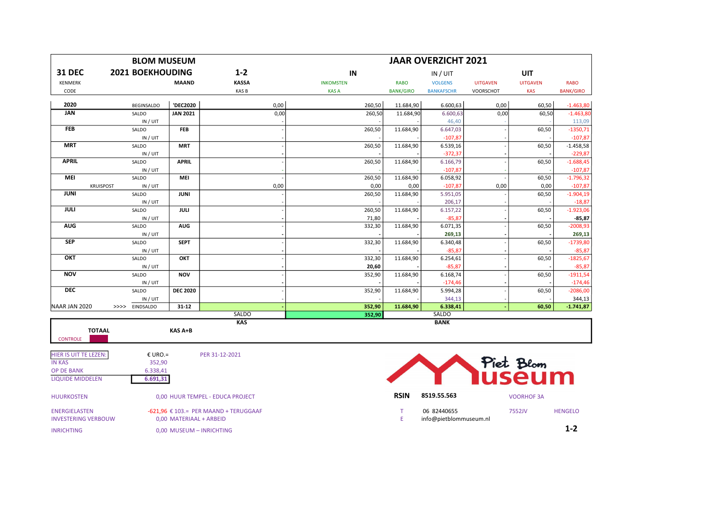|                                                    | <b>BLOM MUSEUM</b>      |                          | <b>JAAR OVERZICHT 2021</b>                          |                  |                  |                                       |                 |                     |                          |  |
|----------------------------------------------------|-------------------------|--------------------------|-----------------------------------------------------|------------------|------------------|---------------------------------------|-----------------|---------------------|--------------------------|--|
| <b>31 DEC</b>                                      | <b>2021 BOEKHOUDING</b> |                          | $1 - 2$                                             | IN               | IN / UIT         |                                       |                 | UIT                 |                          |  |
| KENMERK                                            |                         | <b>MAAND</b>             | <b>KASSA</b>                                        | <b>INKOMSTEN</b> | <b>RABO</b>      | <b>VOLGENS</b>                        | <b>UITGAVEN</b> | <b>UITGAVEN</b>     | <b>RABO</b>              |  |
| CODE                                               |                         |                          | KAS B                                               | <b>KASA</b>      | <b>BANK/GIRO</b> | <b>BANKAFSCHR</b>                     | VOORSCHOT       | <b>KAS</b>          | <b>BANK/GIRO</b>         |  |
| 2020                                               | <b>BEGINSALDO</b>       | 'DEC2020                 | 0,00                                                | 260,50           | 11.684,90        | 6.600,63                              | 0,00            | 60,50               | $-1.463,80$              |  |
| <b>JAN</b>                                         | SALDO                   | <b>JAN 2021</b>          | 0,00                                                | 260,50           | 11.684,90        | 6.600,63                              | 0,00            | 60,50               | $-1.463,80$              |  |
|                                                    | IN / UIT                |                          |                                                     |                  |                  | 46,40                                 |                 |                     | 113,09                   |  |
| <b>FEB</b>                                         | SALDO                   | <b>FEB</b>               |                                                     | 260,50           | 11.684,90        | 6.647,03                              |                 | 60,50               | $-1350,71$               |  |
|                                                    | IN / UIT                |                          |                                                     |                  |                  | $-107,87$                             |                 |                     | $-107,87$                |  |
| <b>MRT</b>                                         | SALDO                   | <b>MRT</b>               |                                                     | 260,50           | 11.684,90        | 6.539,16                              |                 | 60,50               | $-1.458,58$              |  |
| <b>APRIL</b>                                       | IN / UIT<br>SALDO       | <b>APRIL</b>             |                                                     | 260,50           | 11.684,90        | $-372,37$<br>6.166,79                 |                 | 60,50               | $-229,87$<br>$-1.688,45$ |  |
|                                                    | IN / UIT                |                          |                                                     |                  |                  | $-107,87$                             |                 |                     | $-107,87$                |  |
| MEI                                                | SALDO                   | MEI                      |                                                     | 260,50           | 11.684,90        | 6.058,92                              |                 | 60,50               | $-1.796,32$              |  |
| <b>KRUISPOST</b>                                   | IN / UIT                |                          | 0,00                                                | 0,00             | 0,00             | $-107,87$                             | 0,00            | 0,00                | $-107,87$                |  |
| <b>JUNI</b>                                        | SALDO                   | <b>JUNI</b>              |                                                     | 260,50           | 11.684,90        | 5.951,05                              |                 | 60,50               | $-1.904,19$              |  |
|                                                    | IN / UIT                |                          |                                                     |                  |                  | 206,17                                |                 |                     | $-18,87$                 |  |
| <b>JULI</b>                                        | SALDO                   | JULI                     |                                                     | 260,50           | 11.684,90        | 6.157,22                              |                 | 60,50               | $-1.923,06$              |  |
|                                                    | IN / UIT                |                          |                                                     | 71,80            |                  | $-85,87$                              |                 |                     | $-85,87$                 |  |
| <b>AUG</b>                                         | SALDO                   | <b>AUG</b>               |                                                     | 332,30           | 11.684,90        | 6.071,35                              |                 | 60,50               | $-2008,93$               |  |
|                                                    | IN / UIT                |                          |                                                     |                  |                  | 269,13                                |                 |                     | 269,13                   |  |
| <b>SEP</b>                                         | SALDO                   | <b>SEPT</b>              |                                                     | 332,30           | 11.684,90        | 6.340,48<br>$-85,87$                  |                 | 60,50               | $-1739,80$               |  |
| OKT                                                | IN / UIT<br>SALDO       | OKT                      |                                                     | 332,30           | 11.684,90        | 6.254,61                              |                 | 60,50               | $-85,87$<br>$-1825,67$   |  |
|                                                    | IN / UIT                |                          |                                                     | 20,60            |                  | $-85,87$                              |                 |                     | $-85,87$                 |  |
| <b>NOV</b>                                         | SALDO                   | <b>NOV</b>               |                                                     | 352,90           | 11.684,90        | 6.168,74                              |                 | 60,50               | $-1911,54$               |  |
|                                                    | IN / UIT                |                          |                                                     |                  |                  | $-174,46$                             |                 |                     | $-174,46$                |  |
| <b>DEC</b>                                         | SALDO                   | <b>DEC 2020</b>          |                                                     | 352,90           | 11.684,90        | 5.994,28                              |                 | 60,50               | $-2086,00$               |  |
|                                                    | IN / UIT                |                          |                                                     |                  |                  | 344,13                                |                 |                     | 344,13                   |  |
| NAAR JAN 2020                                      | EINDSALDO<br>>>>>       | $31 - 12$                |                                                     | 352,90           | 11.684,90        | 6.338,41                              |                 | 60,50               | $-1.741,87$              |  |
|                                                    |                         |                          | SALDO<br><b>KAS</b>                                 | 352,90           |                  | SALDO<br><b>BANK</b>                  |                 |                     |                          |  |
| <b>TOTAAL</b><br><b>CONTROLE</b>                   |                         | KAS A+B                  |                                                     |                  |                  |                                       |                 |                     |                          |  |
| HIER IS UIT TE LEZEN:<br><b>IN KAS</b>             | € URO.=<br>352,90       |                          | PER 31-12-2021                                      |                  |                  |                                       |                 |                     |                          |  |
| <b>OP DE BANK</b><br><b>LIQUIDE MIDDELEN</b>       | 6.338,41<br>6.691,31    |                          |                                                     |                  |                  |                                       |                 | Piet Blom<br> USEUM |                          |  |
| <b>HUURKOSTEN</b>                                  |                         |                          | 0,00 HUUR TEMPEL - EDUCA PROJECT                    |                  | <b>RSIN</b>      | 8519.55.563                           |                 | <b>VOORHOF 3A</b>   |                          |  |
| <b>ENERGIELASTEN</b><br><b>INVESTERING VERBOUW</b> |                         | 0,00 MATERIAAL + ARBEID  | $-621,96 \text{ } \in 103.$ = PER MAAND + TERUGGAAF |                  | $\top$<br>E      | 06 82440655<br>info@pietblommuseum.nl |                 | 7552JV              | <b>HENGELO</b>           |  |
| <b>INRICHTING</b>                                  |                         | 0,00 MUSEUM - INRICHTING |                                                     |                  |                  |                                       |                 |                     | $1 - 2$                  |  |